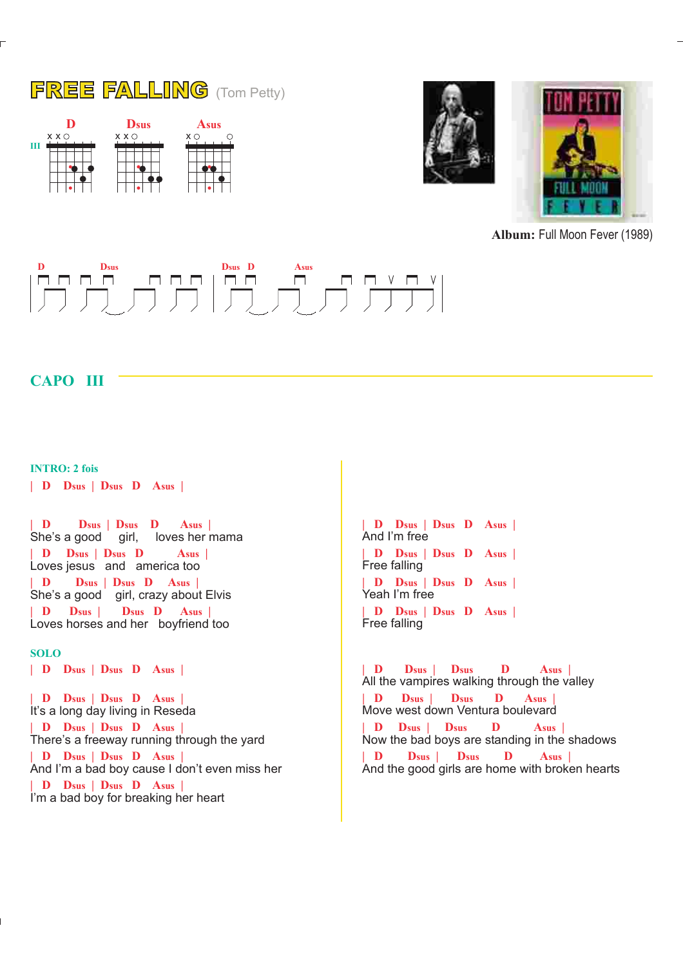





**Album:** Full Moon Fever (1989)



## **CAPO III**

**INTRO: 2 fois**

**| D Dsus | Dsus D Asus |**

She's a good girl, loves her mama Loves jesus and america too She's a good girl, crazy about Elvis Loves horses and her boyfriend too **| D Dsus | Dsus D Asus | | D Dsus | Dsus D Asus | | D Dsus | Dsus D Asus | | D Dsus | Dsus D Asus |**

## **SOLO**

**| D Dsus | Dsus D Asus |**

It's a long day living in Reseda There's a freeway running through the yard And I'm a bad boy cause I don't even miss her I'm a bad boy for breaking her heart **| D Dsus | Dsus D Asus | | D Dsus | Dsus D Asus | | D Dsus | Dsus D Asus | | D Dsus | Dsus D Asus |**

And I'm free Free falling Yeah I'm free Free falling **| D Dsus | Dsus D Asus | | D Dsus | Dsus D Asus | | D Dsus | Dsus D Asus | | D Dsus | Dsus D Asus |**

All the vampires walking through the valley Move west down Ventura boulevard Now the bad boys are standing in the shadows And the good girls are home with broken hearts **| D Dsus | Dsus D Asus | | D Dsus | Dsus D Asus | | D Dsus | Dsus D Asus | | D Dsus | Dsus D Asus |**